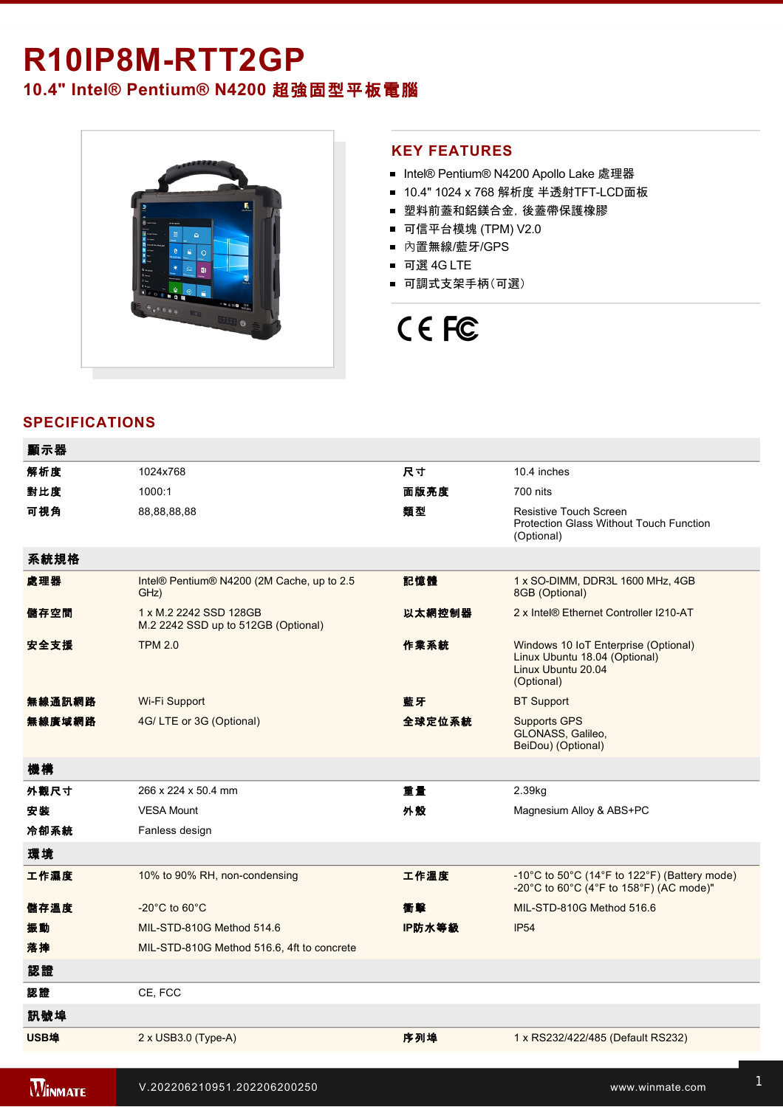## **R10IP8MRTT2GP**

### **10.4" Intel® Pentium® N4200** 超強固型平板電腦



#### **KEY FEATURES**

- Intel® Pentium® N4200 Apollo Lake 處理器
- 10.4" 1024 x 768 解析度 半透射TFT-LCD面板
- 塑料前蓋和鋁鎂合金,後蓋帶保護橡膠
- 可信平台模塊 (TPM) V2.0
- 內置無線/藍牙/GPS
- 可選 4G LTE
- 可調式支架手柄(可選)

# CE FC

#### **SPECIFICATIONS**

| 顯示器         |                                                               |        |                                                                                                           |
|-------------|---------------------------------------------------------------|--------|-----------------------------------------------------------------------------------------------------------|
| 解析度         | 1024x768                                                      | 尺寸     | 10.4 inches                                                                                               |
| 對比度         | 1000:1                                                        | 面版亮度   | 700 nits                                                                                                  |
| 可視角         | 88,88,88,88                                                   | 類型     | Resistive Touch Screen<br><b>Protection Glass Without Touch Function</b><br>(Optional)                    |
| 系統規格        |                                                               |        |                                                                                                           |
| 處理器         | Intel® Pentium® N4200 (2M Cache, up to 2.5<br>GHz)            | 記憶體    | 1 x SO-DIMM, DDR3L 1600 MHz, 4GB<br>8GB (Optional)                                                        |
| 儲存空間        | 1 x M.2 2242 SSD 128GB<br>M.2 2242 SSD up to 512GB (Optional) | 以太網控制器 | 2 x Intel® Ethernet Controller I210-AT                                                                    |
| 安全支援        | <b>TPM 2.0</b>                                                | 作業系統   | Windows 10 IoT Enterprise (Optional)<br>Linux Ubuntu 18.04 (Optional)<br>Linux Ubuntu 20.04<br>(Optional) |
| 無線通訊網路      | Wi-Fi Support                                                 | 藍牙     | <b>BT Support</b>                                                                                         |
| 無線廣域網路      | 4G/LTE or 3G (Optional)                                       | 全球定位系統 | <b>Supports GPS</b><br>GLONASS, Galileo,<br>BeiDou) (Optional)                                            |
| 機構          |                                                               |        |                                                                                                           |
| 外觀尺寸        | 266 x 224 x 50.4 mm                                           | 重量     | 2.39kg                                                                                                    |
| 安装          | <b>VESA Mount</b>                                             | 外殼     | Magnesium Alloy & ABS+PC                                                                                  |
| 冷卻系統        | Fanless design                                                |        |                                                                                                           |
| 環境          |                                                               |        |                                                                                                           |
| 工作濕度        | 10% to 90% RH, non-condensing                                 | 工作溫度   | -10°C to 50°C (14°F to 122°F) (Battery mode)<br>-20°C to 60°C (4°F to 158°F) (AC mode)"                   |
| 儲存溫度        | $-20^{\circ}$ C to 60 $^{\circ}$ C                            | 衝擊     | MIL-STD-810G Method 516.6                                                                                 |
| 振動          | MIL-STD-810G Method 514.6                                     | IP防水等級 | <b>IP54</b>                                                                                               |
| 落摔          | MIL-STD-810G Method 516.6, 4ft to concrete                    |        |                                                                                                           |
| 認證          |                                                               |        |                                                                                                           |
| 認證          | CE, FCC                                                       |        |                                                                                                           |
| 訊號埠         |                                                               |        |                                                                                                           |
| <b>USB埠</b> | $2 \times$ USB3.0 (Type-A)                                    | 序列埠    | 1 x RS232/422/485 (Default RS232)                                                                         |
|             |                                                               |        |                                                                                                           |

is 1 x Leonard 1 x Leonard 1 x Leonard 1 x Leonard 1 x Leonard 1 x Leonard 1 x Leonard 1 x Leonard 1 x Leonard